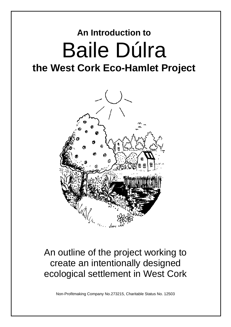# **An Introduction to Baile Dúlra**<br>the West Cork Eco-Hamlet Project



## An outline of the project working to create an intentionally designed ecological settlement in West Cork

Non-Profitmaking Company No.273215, Charitable Status No. 12503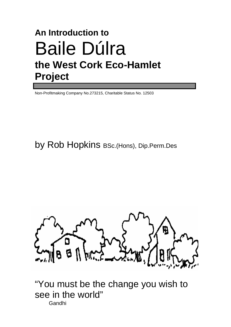## **An Introduction to**  Baile Dúlra **the West Cork Eco-Hamlet Project**

Non-Profitmaking Company No.273215, Charitable Status No. 12503

by Rob Hopkins BSc.(Hons), Dip.Perm.Des



"You must be the change you wish to see in the world" Gandhi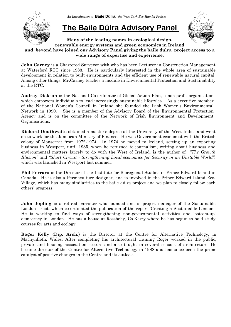

*An Introduction to* **Baile Dúlra***, the West Cork Eco-Hamlet Project* 

## **The Baile Dúlra Advisory Panel**



**Many of the leading names in ecological design, renewable energy systems and green economics in Ireland and beyond have joined our Advisory Panel giving the baile dúlra project access to a** 

**wide range of expertise and experience.**

**John Carney** is a Chartered Surveyor with who has been Lecturer in Construction Management at Waterford RTC since 1983. He is particularly interested in the whole area of sustainable development in relation to built environments and the efficient use of renewable natural capital. Among other things, Mr.Carney teaches a module in Environmental Protection and Sustainability at the RTC.

**Audrey Dickson** is the National Co-ordinator of Global Action Plan, a non-profit organisation which empowers individuals to lead increasingly sustainable lifestyles. As a executive member of the National Women's Council in Ireland she founded the Irish Women's Environmental Network in 1990. She is a member of the Advisory Board of the Environmental Protection Agency and is on the committee of the Network of Irish Environment and Development Organisations.

**Richard Douthwaite** obtained a master's degree at the University of the West Indies and went on to work for the Jamaican Ministry of Finance. He was Government economist with the British colony of Monserrat from 1972-1974. In 1974 he moved to Ireland, setting up an exporting business in Westport, until 1985, when he returned to journalism, writing about business and environmental matters largely to do with the West of Ireland. is the author of *"The Growth Illusion"* and *"Short Circuit - Strengthening Local economics for Security in an Unstable World",*  which was launched in Westport last summer.

**Phil Ferraro** is the Director of the Institute for Bioregional Studies in Prince Edward Island in Canada. He is also a Permaculture designer, and is involved in the Prince Edward Island Eco-Village, which has many similarities to the baile dúlra project and we plan to closely follow each others' progress.

**John Jopling** is a retired barrister who founded and is project manager of the Sustainable London Trust, which co-ordinated the publication of the report 'Creating a Sustainable London'. He is working to find ways of strengthening non-governmental activities and 'bottom-up' democracy in London. He has a house at Rossbehy, Co.Kerry where he has begun to hold study courses for arts and ecology.

**Roger Kelly (Dip. Arch.)** is the Director at the Centre for Alternative Technology, in Machynlleth, Wales. After completing his architectural training Roger worked in the public, private and housing association sectors and also taught in several schools of architecture. He became director of the Centre for Alternative Technology in 1988 and has since been the prime catalyst of positive changes in the Centre and its outlook.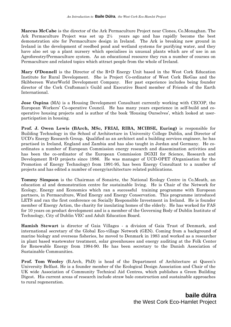**Marcus McCabe** is the director of the Ark Permaculture Project near Clones, Co.Monaghan. The Ark Permaculture Project was set up 2½ years ago and has rapidly become the best demonstration site for Permaculture design in Ireland. The Ark is breaking new ground in Ireland in the development of reedbed pond and wetland systems for purifying water, and they have also set up a plant nursery which specialises in unusual plants which are of use in an Agroforestry/Permaculture system. As an educational resource they run a number of courses on Permaculture and related topics which attract people from the whole of Ireland.

**Mary O'Donnell** is the Director of the R+D Energy Unit based in the West Cork Education Institute for Rural Development. She is Project Co-ordinator of West Cork BioGas and the Skibbereen WaterWorld Development Company. Her past experience includes being founder director of the Cork Craftsman's Guild and Executive Board member of Friends of the Earth International.

**Jose Ospina** (MA) is a Housing Development Consultant currently working with CECOP, the European Workers' Co-operative Council. He has many years experience in self-build and cooperative housing projects and is author of the book 'Housing Ourselves', which looked at userparticipation in housing.

**Prof. J. Owen Lewis (BArch, MSc, FRIAI, RIBA, MCIBSE, Euring)** is responsible for Building Technology in the School of Architecture in University College Dublin, and Director of UCD's Energy Research Group. Qualified as an architect and a building services engineer, he has practised in Ireland, England and Zambia and has also taught in Jordan and Germany. He coordinates a number of European Commission energy research and dissemination activities and has been the co-ordinator of the European Commission DGXII for Science, Research and Development R+D projects since 1986. He was manager of UCD-OPET (Organisation for the Promotion of Energy Technology) from 1991-95, has been Energy Consultant to a number of projects and has edited a number of energy/architecture related publications.

**Tommy Simpson** is the Chairman of Sonairte, the National Ecology Centre in Co.Meath, an education al and demonstration centre for sustainable living. He is Chair of the Network for Ecology, Energy and Economics which ran a successful training programme with European partners, in Permaculture, Wind Energy and Energy Conservation. This programme introduced LETS and ran the first conference on Socially Responsible Investment in Ireland. He is founder member of Energy Action, the charity for insulating homes of the elderly. He has worked for FAS for 10 years on product development and is a member of the Governing Body of Dublin Institute of Technology, City of Dublin VEC and Adult Education Board.

**Hamish Stewart** is director of Gaia Villages - a division of Gaia Trust of Denmark, and international secretary of the Global Eco-village Network (GEN). Coming from a background of marine biology and overseas fisheries, he moved to Denmark in 1983 and worked as a researcher in plant based wastewater treatment, solar greenhouses and energy auditing at the Folk Center for Renewable Energy from 1984-90. He has been secretary to the Danish Association of Sustainable Communities.

**Prof. Tom Wooley** (B.Arch, PhD) is head of the Department of Architecture at Queen's University Belfast. He is a founder member of the Ecological Design Association and Chair of the UK wide Association of Community Technical Aid Centres, which publishes a Green Building Digest. His current areas of research include straw bale construction and sustainable approaches to rural regeneration.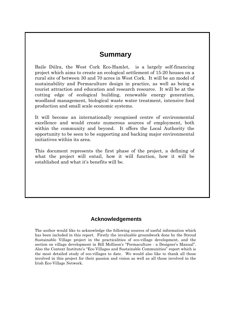## **Summary**

Baile Dúlra, the West Cork Eco-Hamlet, is a largely self-financing project which aims to create an ecological settlement of 15-20 houses on a rural site of between 30 and 70 acres in West Cork. It will be an model of sustainability and Permaculture design in practice, as well as being a tourist attraction and education and research resource. It will be at the cutting edge of ecological building, renewable energy generation, woodland management, biological waste water treatment, intensive food production and small scale economic systems.

It will become an internationally recognised centre of environmental excellence and would create numerous sources of employment, both within the community and beyond. It offers the Local Authority the opportunity to be seen to be supporting and backing major environmental initiatives within its area.

This document represents the first phase of the project, a defining of what the project will entail, how it will function, how it will be established and what it's benefits will be.

## **Acknowledgements**

The author would like to acknowledge the following sources of useful information which has been included in this report. Firstly the invaluable groundwork done by the Stroud Sustainable Village project in the practicalities of eco-village development, and the section on village development in Bill Mollison's "Permaculture - a Designer's Manual". Also the Context Institute's "Eco-Villages and Sustainable Communities" report which is the most detailed study of eco-villages to date. We would also like to thank all those involved in this project for their passion and vision as well as all those involved in the Irish Eco-Village Network.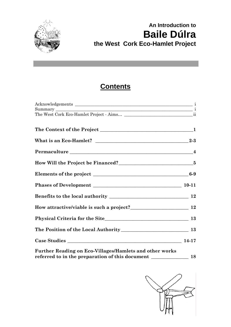

## **An Introduction to Baile Dúlra****the West Cork Eco-Hamlet Project**

## **Contents**

| What is an Eco-Hamlet? $\_$                             |  |
|---------------------------------------------------------|--|
| Permaculture 14                                         |  |
|                                                         |  |
|                                                         |  |
|                                                         |  |
|                                                         |  |
|                                                         |  |
|                                                         |  |
|                                                         |  |
|                                                         |  |
| Further Reading on Eco-Villages/Hamlets and other works |  |

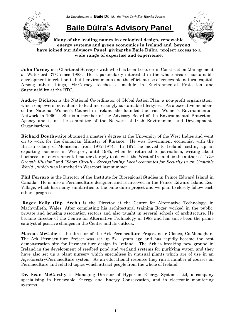

*An Introduction to* **Baile Dúlra***, the West Cork Eco-Hamlet Project* 

## **Baile Dúlra's Advisory Panel**



**Many of the leading names in ecological design, renewable energy systems and green economics in Ireland and beyond have joined our Advisory Panel giving the Baile Dúlra project access to a wide range of expertise and experience.**

**John Carney** is a Chartered Surveyor with who has been Lecturer in Construction Management at Waterford RTC since 1983. He is particularly interested in the whole area of sustainable development in relation to built environments and the efficient use of renewable natural capital. Among other things, Mr.Carney teaches a module in Environmental Protection and Sustainability at the RTC.

**Audrey Dickson** is the National Co-ordinator of Global Action Plan, a non-profit organisation which empowers individuals to lead increasingly sustainable lifestyles. As a executive member of the National Women's Council in Ireland she founded the Irish Women's Environmental Network in 1990. She is a member of the Advisory Board of the Environmental Protection Agency and is on the committee of the Network of Irish Environment and Development Organisations.

**Richard Douthwaite** obtained a master's degree at the University of the West Indies and went on to work for the Jamaican Ministry of Finance. He was Government economist with the British colony of Monserrat from 1972-1974. In 1974 he moved to Ireland, setting up an exporting business in Westport, until 1985, when he returned to journalism, writing about business and environmental matters largely to do with the West of Ireland. is the author of *"The Growth Illusion"* and *"Short Circuit - Strengthening Local economics for Security in an Unstable World",* which was launched in Westport last summer.

**Phil Ferraro** is the Director of the Institute for Bioregional Studies in Prince Edward Island in Canada. He is also a Permaculture designer, and is involved in the Prince Edward Island Eco-Village, which has many similarities to the baile dúlra project and we plan to closely follow each others' progress.

**Roger Kelly (Dip. Arch.)** is the Director at the Centre for Alternative Technology, in Machynlleth, Wales. After completing his architectural training Roger worked in the public, private and housing association sectors and also taught in several schools of architecture. He became director of the Centre for Alternative Technology in 1988 and has since been the prime catalyst of positive changes in the Centre and its outlook.

**Marcus McCabe** is the director of the Ark Permaculture Project near Clones, Co.Monaghan. The Ark Permaculture Project was set up 2½ years ago and has rapidly become the best demonstration site for Permaculture design in Ireland. The Ark is breaking new ground in Ireland in the development of reedbed pond and wetland systems for purifying water, and they have also set up a plant nursery which specialises in unusual plants which are of use in an Agroforestry/Permaculture system. As an educational resource they run a number of courses on Permaculture and related topics which attract people from the whole of Ireland.

**Dr. Sean McCarthy** is Managing Director of Hyperion Energy Systems Ltd, a company specialising in Renewable Energy and Energy Conservation, and in electronic monitoring systems.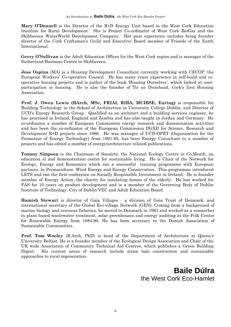**Mary O'Donnell** is the Director of the R+D Energy Unit based in the West Cork Education Institute for Rural Development. She is Project Co-ordinator of West Cork BioGas and the Skibbereen WaterWorld Development Company. Her past experience includes being founder director of the Cork Craftsman's Guild and Executive Board member of Friends of the Earth International.

**Gerry O'Sullivan** is the Adult Education Officer for the West Cork region and is manager of the Sutherland Business Centre in Skibbereen.

**Jose Ospina** (MA) is a Housing Development Consultant currently working with CECOP, the European Workers' Co-operative Council. He has many years experience in self-build and cooperative housing projects and is author of the book 'Housing Ourselves', which looked at userparticipation in housing. He is also the founder of Tir an Droichead, Cork's first Housing Association.

**Prof. J. Owen Lewis (BArch, MSc, FRIAI, RIBA, MCIBSE, Euring)** is responsible for Building Technology in the School of Architecture in University College Dublin, and Director of UCD's Energy Research Group. Qualified as an architect and a building services engineer, he has practised in Ireland, England and Zambia and has also taught in Jordan and Germany. He co-ordinates a number of European Commission energy research and dissemination activities and has been the co-ordinator of the European Commission DGXII for Science, Research and Development R+D projects since 1986. He was manager of UCD-OPET (Organisation for the Promotion of Energy Technology) from 1991-95, has been Energy Consultant to a number of projects and has edited a number of energy/architecture related publications.

**Tommy Simpson** is the Chairman of Sonairte, the National Ecology Centre in Co.Meath, an education al and demonstration centre for sustainable living. He is Chair of the Network for Ecology, Energy and Economics which ran a successful training programme with European partners, in Permaculture, Wind Energy and Energy Conservation. This programme introduced LETS and ran the first conference on Socially Responsible Investment in Ireland. He is founder member of Energy Action, the charity for insulating homes of the elderly. He has worked for FAS for 10 years on product development and is a member of the Governing Body of Dublin Institute of Technology, City of Dublin VEC and Adult Education Board.

**Hamish Stewart** is director of Gaia Villages - a division of Gaia Trust of Denmark, and international secretary of the Global Eco-village Network (GEN). Coming from a background of marine biology and overseas fisheries, he moved to Denmark in 1983 and worked as a researcher in plant based wastewater treatment, solar greenhouses and energy auditing at the Folk Center for Renewable Energy from 1984-90. He has been secretary to the Danish Association of Sustainable Communities.

**Prof. Tom Wooley** (B.Arch, PhD) is head of the Department of Architecture at Queen's University Belfast. He is a founder member of the Ecological Design Association and Chair of the UK wide Association of Community Technical Aid Centres, which publishes a Green Building Digest. His current areas of research include straw bale construction and sustainable approaches to rural regeneration.

> **Baile Dúlra**  the West Cork Eco-Hamlet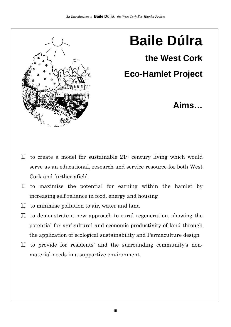

## **Baile Dúlra**

**the West Cork** 

## **Eco-Hamlet Project**

## **Aims…**

- $\overline{\mu}$  to create a model for sustainable 21<sup>st</sup> century living which would serve as an educational, research and service resource for both West Cork and further afield
- $\mathbb I$  to maximise the potential for earning within the hamlet by increasing self reliance in food, energy and housing
- $\mathbb I$  to minimise pollution to air, water and land
- $\overline{\perp}$  to demonstrate a new approach to rural regeneration, showing the potential for agricultural and economic productivity of land through the application of ecological sustainability and Permaculture design
- $\overline{\mu}$  to provide for residents' and the surrounding community's nonmaterial needs in a supportive environment.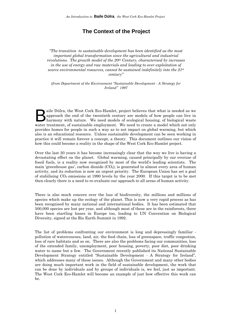## **The Context of the Project**

*"The transition to sustainable development has been identified as the most important global transformation since the agricultural and industrial revolutions. The growth model of the 20th Century, characterised by increases in the use of energy and raw materials and leading to over-exploitation of scarce environmental resources, cannot be sustained indefinitely into the 21st century"* 

*(from Department of the Environment "Sustainable Development - A Strategy for Ireland" 1997* 

aile Dúlra, the West Cork Eco-Hamlet, project believes that what is needed as we approach the end of the twentieth century are models of how people can live in harmony with nature. We need models of ecological housing, of biological waste aile Dúlra, the West Cork Eco-Hamlet, project believes that what is needed as we approach the end of the twentieth century are models of how people can live in harmony with nature. We need models of ecological housing, of provides homes for people in such a way as to not impact on global warming, but which also is an educational resource. Unless sustainable development can be seen working in practice it will remain forever a concept, a theory. This document outlines our vision of how this could become a reality in the shape of the West Cork Eco-Hamlet project.

Over the last 20 years it has become increasingly clear that the way we live is having a devastating effect on the planet. Global warming, caused principally by our overuse of fossil fuels, is a reality now recognised by most of the world's leading scientists. The main 'greenhouse gas', carbon dioxide  $(CO<sub>2</sub>)$ , is generated in almost every area of human activity, and its reduction is now an urgent priority. The European Union has set a goal of stabilising  $CO<sub>2</sub>$  emissions at 1990 levels by the year 2000. If this target is to be met then clearly there is a need to re-evaluate our approach to all areas of human activity.

There is also much concern over the loss of biodiversity, the millions and millions of species which make up the ecology of the planet. This is now a very rapid process as has been recognised by many national and international bodies. It has been estimated that 500,000 species are lost per year, and although most of these are in the rainforests, there have been startling losses in Europe too, leading to UN Convention on Biological Diversity, signed at the Rio Earth Summit in 1992.

The list of problems confronting our environment is long and depressingly familiar pollution of watercourses, land, air, the food chain, loss of greenspace, traffic congestion, loss of rare habitats and so on. There are also the problems facing our communities, loss of the extended family, unemployment, poor housing, poverty, poor diet, poor drinking water to name but a few. The Government recently published its National Sustainable Development Strategy entitled "Sustainable Development - A Strategy for Ireland", which addresses many of these issues. Although the Government and many other bodies are doing much important work in the field of sustainable development, the work that can be done by individuals and by groups of individuals is, we feel, just as important. The West Cork Eco-Hamlet will become an example of just how effective this work can be.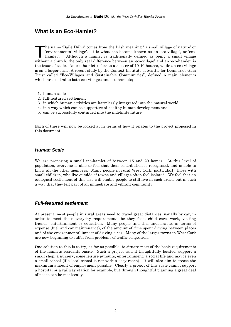## **What is an Eco-Hamlet?**

he name 'Baile Dúlra' comes from the Irish meaning ' a small village of nature' or 'environmental village'. It is what has become known as an 'eco-village', or 'eco-<br>hamlet'. Although a hamlet is traditionally defined as b 'environmental village'. It is what has become known as an 'eco-village', or 'ecohamlet'. Although a hamlet is traditionally defined as being a small village without a church, the only real difference between an 'eco-village' and an 'eco-hamlet' is the issue of scale. An eco-hamlet refers to a cluster of 10-40 houses, while an eco-village is on a larger scale. A recent study by the Context Institute of Seattle for Denmark's Gaia Trust called "Eco-Villages and Sustainable Communities", defined 5 main elements which are central to both eco-villages and eco-hamlets;

- 1. human scale
- 2. full-featured settlement
- 3. in which human activities are harmlessly integrated into the natural world
- 4. in a way which can be supportive of healthy human development and
- 5. can be successfully continued into the indefinite future.

Each of these will now be looked at in terms of how it relates to the project proposed in this document.

#### *Human Scale*

We are proposing a small eco-hamlet of between 15 and 20 homes. At this level of population, everyone is able to feel that their contribution is recognised, and is able to know all the other members. Many people in rural West Cork, particularly those with small children, who live outside of towns and villages often feel isolated. We feel that an ecological settlement of this size will enable people to still live in such areas, but in such a way that they felt part of an immediate and vibrant community.

#### *Full-featured settlement*

At present, most people in rural areas need to travel great distances, usually by car, in order to meet their everyday requirements, be they food, child care, work, visiting friends, entertainment or education. Many people find this undesirable, in terms of expense (fuel and car maintenance), of the amount of time spent driving between places and of the environmental impact of driving a car. Many of the larger towns in West Cork are now beginning to suffer from problems of traffic congestion.

One solution to this is to try, as far as possible, to situate most of the basic requirements of the hamlets residents onsite. Such a project can, if thoughtfully located, support a small shop, a nursery, some leisure pursuits, entertainment, a social life and maybe even a small school (if a local school is not within easy reach). It will also aim to create the maximum amount of employment possible. Clearly a project of this scale cannot support a hospital or a railway station for example, but through thoughtful planning a great deal of needs can be met locally.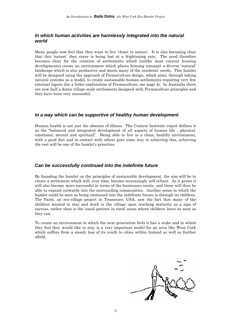#### *In which human activities are harmlessly integrated into the natural world*

Many people now feel that they want to live 'closer to nature'. It is also becoming clear that this 'nature' they crave is being lost at a frightening rate. The need therefore becomes clear for the creation of settlements which (unlike most current housing developments) create an environment which places housing amongst a diverse 'natural' landscape which is also productive and meets many of the residents' needs. This hamlet will be designed using the approach of Permaculture design, which aims, through taking natural systems as a model, to create sustainable human settlements requiring very few external inputs (for a fuller explanation of Permaculture, see page 4). In Australia there are now half a dozen village scale settlements designed with Permaculture principles and they have been very successful.

#### *In a way which can be supportive of healthy human development*

Human health is not just the absence of illness. The Context Institute report defines it as the "balanced and integrated development of all aspects of human life - physical, emotional, mental and spiritual". Being able to live in a clean, healthy environment, with a good diet and in contact with others goes some way to achieving this, achieving the rest will be one of the hamlet's priorities.

#### *Can be successfully continued into the indefinite future*

By founding the hamlet on the principles of sustainable development, the aim will be to create a settlement which will, over time, become increasingly self reliant. As it grows it will also become more successful in terms of the businesses onsite, and these will then be able to expand outwards into the surrounding communities. Another sense in which the hamlet could be seen as being continued into the indefinite future is through its children. The Farm, an eco-village project in Tennessee, USA, saw the fact that many of the children wanted to stay and work in the village upon reaching maturity as a sign of success, rather than is the usual pattern in rural areas where children leave as soon as they can.

To create an environment in which the next generation feels it has a stake and in which they feel they would like to stay is a very important model for an area like West Cork which suffers from a steady loss of its youth to cities within Ireland as well as further afield.

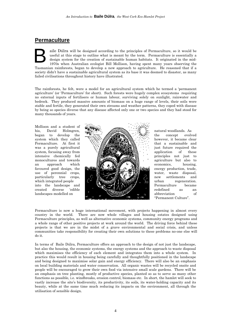## **Permaculture**

aile Dúlra will be designed according to the principles of Permaculture, so it would be useful at this stage to outline what is meant by the term. Permaculture is essentially a design system for the creation of sustainable human habitats. It originated in the mid-1970s when Australian ecologist Bill Mollison, having spent many years observing the Tasmanian rainforests, began to develop a new approach to agriculture. He reasoned that if a society didn't have a sustainable agricultural system as its base it was doomed to disaster, as many failed civilisations throughout history have illustrated. B

The rainforests, he felt, were a model for an agricultural system which he termed a 'permanent agriculture' (or 'Permaculture' for short). Such forests were hugely complex ecosystems requiring no external inputs of fertilisers or human labour, surviving solely on sunlight, rainwater and bedrock. They produced massive amounts of biomass on a huge range of levels, their soils were stable and fertile, they generated their own streams and weather patterns, they coped with disease by being so species diverse that any disease affected only one or two species and they had stood for many thousands of years.

Mollison and a student of his, David Holmgren, began to develop the system which they called Permaculture. At first it was a purely agricultural system, focusing away from intensive chemically fed monocultures and towards an approach which favoured good design, the use of perennial crops, particularly tree crops, which integrated people into the landscape and created diverse 'edible landscapes modelled on



natural woodlands. As the concept evolved however, it became clear that a sustainable and just future required the application of these principles not just to agriculture but also to economics, housing, energy production, trade, water, waste disposal, new settlements and urban regeneration. Permaculture became redefined as an abbreviation of "Permanent Culture".

Permaculture is now a huge international movement, with projects happening in almost every country in the world. There are now whole villages and housing estates designed using Permaculture principles, as well as alternative economic systems, community energy programs and a whole range of other positive projects at work around the world. The driving force behind these projects is that we are in the midst of a grave environmental and social crisis, and unless communities take responsibility for creating their own solutions to these problems no-one else will do it.

In terms of Baile Dúlra, Permaculture offers an approach to the design of not just the landscape, but also the housing, the economic systems, the energy systems and the approach to waste disposal which maximises the efficiency of each element and integrates them into a whole system. In practice this would result in housing being carefully and thoughtfully positioned in the landscape and being designed to maximise solar gain and energy efficiency. There will also be an emphasis on local building materials and water conservation. All organic wastes will be recycled onsite and people will be encouraged to grow their own food via intensive small scale gardens. There will be an emphasis on tree planting, mostly of productive species, planted so as to serve as many other functions as possible, i.e. windbreaks, erosion control, biomass etc. In short, the hamlet will seek to vastly increase the site's biodiversity, its productivity, its soils, its water-holding capacity and its beauty, while at the same time much reducing its impacts on the environment, all through the utilisation of sensible design.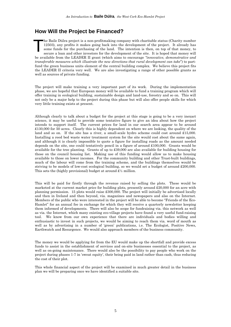## **How Will the Project be Financed?**

he Baile Dúlra project is a non-profitmaking company with charitable status (Charity number 12503), any profits it makes going back into the development of the project. It already has some funds for the purchasing of the land. The intention is then, on top of that money, to secure a loan and other investors for the development of the site. It is hoped that money will be available from the LEADER II grant (which aims to encourage *"innovative, demonstrative and transferable measures which illustrate the new directions that rural development can take*") to partfund the green business units element of the central building complex. We believe this project fits the LEADER II criteria very well. We are also investigating a range of other possible grants as well as sources of private funding. T

The project will make training a very important part of its work. During the implementation phase, we are hopeful that European money will be available to fund a training program which will offer training in ecological building, sustainable design and land-use, forestry and so on. This will not only be a major help to the project during this phase but will also offer people skills for which very little training exists at present.

Although clearly to talk about a budget for the project at this stage is going to be a very inexact science, it may be useful to provide some tentative figure to give an idea about how the project intends to support itself. The current prices for land in our search area appear to be around £130,000 for 50 acres. Clearly this is highly dependent on where we are looking, the quality of the land and so on. If the site has a river, a small-scale hydro scheme could cost around £15,000. Installing a reed bed waste water treatment system for the site would cost about the same again, and although it is clearly impossible to quote a figure for installing roads as the amount needed depends on the site, one could tentatively pencil in a figure of around £100,000. Grants would be available for the tree planting. Grants of up to £39,000 are also available for building housing for those on the council housing list. Making use of this funding would allow us to make housing available to those on lower incomes. For the community building and other Trust-built buildings, much of the labour will come from the training scheme, and the buildings themselves would be striving to be models of low-cost ecological building, so we would set a budget of around £200,000. This sets the (highly provisional) budget at around  $\mathfrak{L} \mathfrak{L}$  million.

This will be paid for firstly through the revenue raised by selling the plots. These would be marketed at the current market price for building plots, presently around £20,000 for an acre with planning permission. 15 plots would raise £300,000. The project will initially be advertised locally and then in Ireland and then beyond, via. magazines and newspapers and also on the Internet. Members of the public who were interested in the project will be able to become "Friends of the Eco-Hamlet" for an annual fee in exchange for which they will receive a quarterly newsletter keeping them informed of developments. There will also be scope for fundraising via. this network as well as via. the Internet, which many existing eco-village projects have found a very useful fund-raising tool. We know from our own experience that there are individuals and bodies willing and enthusiastic to invest in such projects, we would be aiming to reach them via. word of mouth as well as by advertising in a number of 'green' publications, i.e. The Ecologist, Positive News, Earthwatch and Resurgence. We would also approach members of the business community.

The money we would be applying for from the EU would make up the shortfall and provide excess funds to assist in the establishment of services and on-site businesses essential to the project, as well as on-going maintenance. There would also be the possibility to pay people who work on the project during phases 1-7 in 'sweat equity', their being paid in land rather than cash, thus reducing the cost of their plot.

This whole financial aspect of the project will be examined in much greater detail in the business plan we will be preparing once we have identified a suitable site.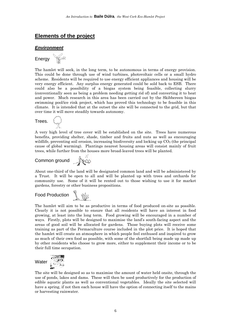## **Elements of the project**

#### *Environment*



The hamlet will seek, in the long term, to be autonomous in terms of energy provision. This could be done through use of wind turbines, photovoltaic cells or a small hydro scheme. Residents will be required to use energy efficient appliances and housing will be very energy efficient. Any surplus energy generated could be sold back to ESB. There could also be a possibility of a biogas system being feasible, collecting slurry (conventionally seen as being a problem needing getting rid of) and converting it to heat and power. Much research in this area has been carried out by the Skibbereen biogas swimming pool/ice rink project, which has proved this technology to be feasible in this climate. It is intended that at the outset the site will be connected to the grid, but that over time it will move steadily towards autonomy.



A very high level of tree cover will be established on the site. Trees have numerous benefits, providing shelter, shade, timber and fruits and nuts as well as encouraging wildlife, preventing soil erosion, increasing biodiversity and locking up  $CO<sub>2</sub>$  (the principal cause of global warming). Plantings nearest housing areas will consist mainly of fruit trees, while further from the houses more broad-leaved trees will be planted.

## Common ground

About one-third of the land will be designated common land and will be administered by a Trust. It will be open to all and will be planted up with trees and orchards for community use. Some of it will be rented out to those wishing to use it for market gardens, forestry or other business propositions.

#### Food Production LW

The hamlet will aim to be as productive in terms of food produced on-site as possible. Clearly it is not possible to ensure that all residents will have an interest in food growing, at least into the long term. Food growing will be encouraged in a number of ways. Firstly, plots will be designed to maximise the land's south-facing aspect and the areas of good soil will be allocated for gardens. Those buying plots will receive some training as part of the Permaculture course included in the plot price. It is hoped that the hamlet will create an atmosphere in which people feel enthused and inspired to grow as much of their own food as possible, with some of the shortfall being made up made up by other residents who choose to grow more, either to supplement their income or to be their full time occupation.



The site will be designed so as to maximise the amount of water held onsite, through the use of ponds, lakes and dams. These will then be used productively for the production of edible aquatic plants as well as conventional vegetables. Ideally the site selected will have a spring, if not then each house will have the option of connecting itself to the mains or harvesting rainwater.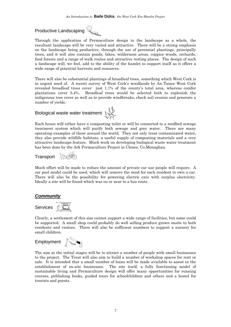## Productive Landscaping

Through the application of Permaculture design to the landscape as a whole, the resultant landscape will be very varied and attractive. There will be a strong emphasis on the landscape being productive, through the use of perennial plantings, principally trees, and it will also contain ponds, lakes, wilderness areas, coppice woods, orchards, food forests and a range of walk routes and attractive resting places. The design of such a landscape will, we feel, add to the ability of the hamlet to support itself as it offers a wide range of potential harvests and resources.

There will also be substantial plantings of broadleaf trees, something which West Cork is in urgent need of. A recent survey of West Cork's woodlands by An Taisce West Cork revealed broadleaf trees cover just 1.1% of the county's total area, whereas conifer plantations cover 5.4%. Broadleaf trees would be selected both to replenish the indigenous tree cover as well as to provide windbreaks, check soil erosion and generate a number of yields.

## Biological waste water treatment  $\mathbb{R}^{\mathbb{N}}$



Each house will either have a composting toilet or will be connected to a reedbed sewage treatment system which will purify both sewage and grey water. There are many operating examples of these around the world. They not only treat contaminated water, they also provide wildlife habitats, a useful supply of composting materials and a very attractive landscape feature. Much work on developing biological waste water treatment has been done by the Ark Permaculture Project in Clones, Co.Monaghan.

Transport Be

Much effort will be made to reduce the amount of private car use people will require. A car pool model could be used, which will remove the need for each resident to own a car. There will also be the possibility for powering electric cars with surplus electricity. Ideally a site will be found which was on or near to a bus route.

### *Community*

Services **Demotion** 

Clearly, a settlement of this size cannot support a wide range of facilities, but some could be supported. A small shop could probably do well selling produce grown onsite to both residents and visitors. There will also be sufficient numbers to support a nursery for small children.



The aim at the initial stages will be to attract a number of people with small businesses to the project. The Trust will also aim to build a number of workshop spaces for rent or sale. It is intended that a small number of loans will be made available to assist in the establishment of on-site businesses. The site itself, a fully functioning model of sustainable living and Permaculture design will offer many opportunities for running courses, publishing books, guided tours for schoolchildren and others and a hostel for tourists and guests.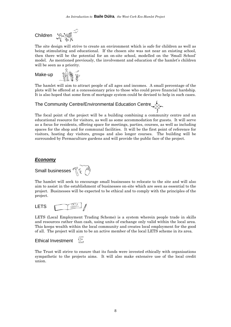

1988

The site design will strive to create an environment which is safe for children as well as being stimulating and educational. If the chosen site was not near an existing school, then there will be the potential for an on-site school, modelled on the 'Small School' model. As mentioned previously, the involvement and education of the hamlet's children will be seen as a priority.

Make-up

The hamlet will aim to attract people of all ages and incomes. A small percentage of the plots will be offered at a concessionary price to those who could prove financial hardship. It is also hoped that some form of mortgage system could be devised to help in such cases.

## The Community Centre/Environmental Education Centre

The focal point of the project will be a building combining a community centre and an educational resource for visitors, as well as some accommodation for guests. It will serve as a focus for residents, offering space for meetings, parties, courses, as well as including spaces for the shop and for communal facilities. It will be the first point of reference for visitors, hosting day visitors, groups and also longer courses. The building will be surrounded by Permaculture gardens and will provide the public face of the project.

#### *Economy*

Small businesses  $\widehat{\mathbb{T}}$   $\widehat{\mathbb{S}}$ 

The hamlet will seek to encourage small businesses to relocate to the site and will also aim to assist in the establishment of businesses on-site which are seen as essential to the project. Businesses will be expected to be ethical and to comply with the principles of the project.

 $\frac{VETS}{V}$ LETS

LETS (Local Employment Trading Scheme) is a system wherein people trade in skills and resources rather than cash, using units of exchange only valid within the local area. This keeps wealth within the local community and creates local employment for the good of all. The project will aim to be an active member of the local LETS scheme in its area.

#### fE Ethical Investment

The Trust will strive to ensure that its funds were invested ethically with organisations sympathetic to the projects aims. It will also make extensive use of the local credit union.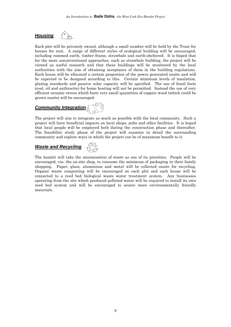## *Housing*



Each plot will be privately owned, although a small number will be held by the Trust for houses for rent. A range of different styles of ecological building will be encouraged, including rammed earth, timber frame, strawbale and earth-sheltered. It is hoped that for the more unconventional approaches, such as strawbale building, the project will be viewed as useful research and that these buildings will be monitored by the local authorities with the aim of obtaining acceptance of them in the building regulations. Each house will be allocated a certain proportion of the power generated onsite and will be expected to be designed according to this. Certain minimum levels of insulation, glazing standards and passive solar capacity will be specified. The use of fossil fuels (coal, oil and anthracite) for home heating will not be permitted. Instead the use of very efficient ceramic stoves which burn very small quantities of coppice wood (which could be grown onsite) will be encouraged.

## **Community Integration**

The project will aim to integrate as much as possible with the local community. Such a project will have beneficial impacts on local shops, pubs and other facilities. It is hoped that local people will be employed both during the construction phase and thereafter. The feasibility study phase of the project will examine in detail the surrounding community and explore ways in which the project can be of maximum benefit to it.

## *Waste and Recycling*

The hamlet will take the minimisation of waste as one of its priorities. People will be encouraged, via. the on-site shop, to consume the minimum of packaging in their family shopping. Paper, glass, aluminium and metal will be collected onsite for recycling. Organic waste composting will be encouraged on each plot and each house will be connected to a reed bed biological waste water treatment system. Any businesses operating from the site which produced polluted water will be required to install its own reed bed system and will be encouraged to source more environmentally friendly materials.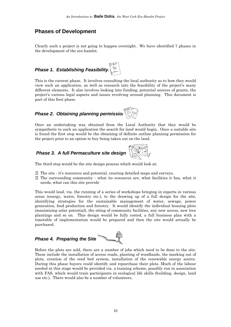## **Phases of Development**

Clearly such a project is not going to happen overnight. We have identified 7 phases in the development of the eco-hamlet.

## *Phase 1. Establishing Feasibility.*

This is the current phase. It involves consulting the local authority as to how they would view such an application, as well as research into the feasibility of the project's many different elements. It also involves looking into funding, potential sources of grants, the project's various legal aspects and issues revolving around planning. This document is part of this first phase.

## *Phase 2. Obtaining planning permission*

Once an undertaking was obtained from the Local Authority that they would be sympathetic to such an application the search for land would begin. Once a suitable site is found the first step would be the obtaining of definite outline planning permission for the project prior to an option to buy being taken out on the land.

## *Phase 3. A full Permaculture site design*

The third step would be the site design process which would look at;

- $\mathbb I$  The site it's resources and potential, creating detailed maps and surveys,
- $\Pi$  The surrounding community  $\cdot$  what its resources are, what facilities it has, what it needs, what can this site provide

This would lead, via. the running of a series of workshops bringing in experts in various areas (energy, water, forestry etc.), to the drawing up of a full design for the site, identifying strategies for the sustainable management of water, sewage, power generation, food production and forestry. It would identify the individual housing plots (maximising solar potential), the siting of community facilities, any new access, new tree plantings and so on. This design would be fully costed, a full business plan with a timetable of implementation would be prepared and then the site would actually be purchased.

## *Phase 4. Preparing the Site*

Before the plots are sold, there are a number of jobs which need to be done to the site. These include the installation of access roads, planting of woodlands, the marking out of plots, creation of the reed bed system, installation of the renewable energy source. During this phase buyers could identify and repurchase their plots. Much of the labour needed at this stage would be provided via. a training scheme, possibly run in association with FAS, which would train participants in ecological life skills (building, design, land use etc.). There would also be a number of volunteers.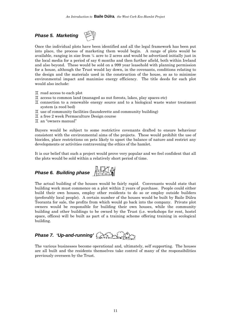## *Phase 5. Marketing*



Once the individual plots have been identified and all the legal framework has been put into place, the process of marketing them would begin. A range of plots would be available, ranging in size from ¼ acre to 2 acres and would be advertised initially just in the local media for a period of say 6 months and then further afield, both within Ireland and also beyond. These would be sold on a 999 year leasehold with planning permission for a house, although the Trust would lay down, in the covenants, conditions relating to the design and the materials used in the construction of the house, so as to minimise environmental impact and maximise energy efficiency. The title deeds for each plot would also include:

- $\mathbb I$  road access to each plot
- $\overline{\mathbf{I}}$  access to common land (managed as nut forests, lakes, play spaces etc)
- $\overline{\mathrm{H}}$  connection to a renewable energy source and to a biological waste water treatment system (a reed bed)
- $\mathbb I$  use of community facilities (launderette and community building)
- $\mathbb I$  a free 2 week Permaculture Design course
- $\mathbb I$  an "owners manual"

Buyers would be subject to some restrictive covenants drafted to ensure behaviour consistent with the environmental aims of the projects. These would prohibit the use of biocides, place restrictions on pets likely to upset the balance of nature and restrict any developments or activities contravening the ethics of the hamlet.

It is our belief that such a project would prove very popular and we feel confident that all the plots would be sold within a relatively short period of time.



The actual building of the houses would be fairly rapid. Convenants would state that building work must commence on a plot within 2 years of purchase. People could either build their own houses, employ other residents to do so or employ outside builders (preferably local people). A certain number of the houses would be built by Baile Dúlra Teoranta for sale, the profits from which would go back into the company. Private plot owners would be responsible for building their own houses, while the community building and other buildings to be owned by the Trust (i.e. workshops for rent, hostel space, offices) will be built as part of a training scheme offering training in ecological building.

## *Phase 7. 'Up-and-running'*

The various businesses become operational and, ultimately, self supporting. The houses are all built and the residents themselves take control of many of the responsibilities previously overseen by the Trust.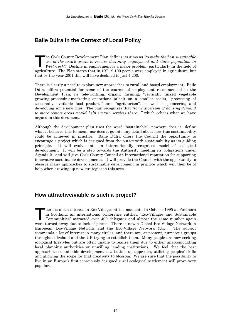## **Baile Dúlra in the Context of Local Policy**

he Cork County Development Plan defines its aims as *"to make the best sustainable use of the area's assets to reverse declining employment and static population in West Cork".* Decline in employment is a major problem, particularly in the field of he Cork County Development Plan defines its aims as "to make the best sustainable use of the area's assets to reverse declining employment and static population in West Cork". Decline in employment is a major problem, part that by the year 2001 this will have declined to just 4,200.

There is clearly a need to explore new approaches to rural land-based employment. Baile Dúlra offers potential for some of the sources of employment recommended in the Development Plan, i.e tele-working, organic farming, "vertically linked vegetable growing-processing-marketing operations (albeit on a smaller scale), "processing of seasonally available food products" and "agritourism", as well as pioneering and developing some new ones. The plan recognises that *"some diversion of housing demand to more remote areas would help sustain services there…"* which echoes what we have argued in this document.

Although the development plan uses the word "sustainable", nowhere does it define what it believes this to mean, nor does it go into any detail about how this sustainability could be achieved in practice. Baile Dúlra offers the Council the opportunity to encourage a project which is designed from the outset with sustainability as its guiding principle. It will evolve into an internationally recognised model of ecological development. It will be a step towards the Authority meeting its obligations under Agenda 21 and will give Cork County Council an international reputation for supporting innovative sustainable developments. It will provide the Council with the opportunity to observe many approaches to sustainable development in practice which will then be of help when drawing up new strategies in this area.

## **How attractive/viable is such a project?**

here is much interest in Eco-Villages at the moment. In October 1995 at Findhorn in Scotland, an international conference entitled "Eco-Villages and Sustainable Communities" attracted over 400 delegates and almost the same number again here is much interest in Eco-Villages at the moment. In October 1995 at Findhorn in Scotland, an international conference entitled "Eco-Villages and Sustainable Communities" attracted over 400 delegates and almost the same European Eco-Village Network and the Eco-Village Network (UK). The subject commands a lot of interest in many circles, and there are, at present, numerous groups throughout Ireland and the UK trying to establish them. Many people are now seeking ecological lifestyles but are often unable to realise them due to either unaccomodating local planning authorities or unwilling lending institutions. We feel that the best approach to sustainable development is a bottom-up approach, utilising peoples' skills and allowing the scope for that creativity to blossom. We are sure that the possibility to live in an Europe's first consciously designed rural ecological settlement will prove very popular.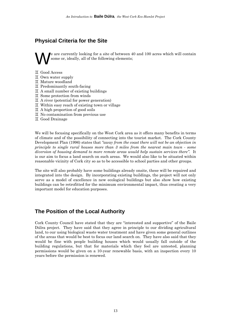## **Physical Criteria for the Site**

e are currently looking for a site of between 40 and 100 acres which will contain some or, ideally, all of the following elements;  $\bigvee$   $e$ 

G Good Access

- $\mathbb I$  Own water supply
- $\mathbb I$  Mature woodland
- $\mathbb I$  Predominantly south-facing
- $\mathbb I$  A small number of existing buildings
- $\mathbb I$  Some protection from winds
- $\mathbb I$  A river (potential for power generation)
- $\mathbb I$  Within easy reach of existing town or village
- $\mathbb{I}$  A high proportion of good soils
- $\mathbb I$  No contamination from previous use
- $\mathbb I$  Good Drainage

We will be focusing specifically on the West Cork area as it offers many benefits in terms of climate and of the possibility of connecting into the tourist market. The Cork County Development Plan (1996) states that *"away from the coast there will not be an objection in principle to single rural houses more than 3 miles from the nearest main town - some diversion of housing demand to more remote areas would help sustain services there".* It is our aim to focus a land search on such areas. We would also like to be situated within reasonable vicinity of Cork city so as to be accessible to school parties and other groups.

The site will also probably have some buildings already onsite, these will be repaired and integrated into the design. By incorporating existing buildings, the project will not only serve as a model of excellence in new ecological buildings but also show how existing buildings can be retrofitted for the minimum environmental impact, thus creating a very important model for education purposes.

## **The Position of the Local Authority**

Cork County Council have stated that they are "interested and supportive" of the Baile Dúlra project. They have said that they agree in principle to our dividing agricultural land, to our using biological waste water treatment and have given some general outlines of the areas that would be best to focus our land search on. They have also said that they would be fine with people building houses which would usually fall outside of the building regulations, but that for materials which they feel are untested, planning permissions would be given on a 10-year renewable basis, with an inspection every 10 years before the permission is renewed.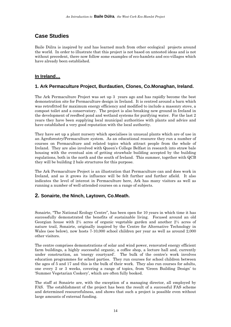## **Case Studies**

Baile Dúlra is inspired by and has learned much from other ecological projects around the world. In order to illustrate that this project is not based on untested ideas and is not without precedent, there now follow some examples of eco-hamlets and eco-villages which have already been established.

### **In Ireland…**

### **1. Ark Permaculture Project, Burdautien, Clones, Co.Monaghan, Ireland.**

The Ark Permaculture Project was set up 3 years ago and has rapidly become the best demonstration site for Permaculture design in Ireland. It is centred around a barn which was retrofitted for maximum energy efficiency and modified to include a masonry stove, a compost toilet and a conservatory. The project is also breaking new ground in Ireland in the development of reedbed pond and wetland systems for purifying water. For the last 2 years they have been supplying local municipal authorities with plants and advice and have established a very good reputation with the local authority.

They have set up a plant nursery which specialises in unusual plants which are of use in an Agroforestry/Permaculture system. As an educational resource they run a number of courses on Permaculture and related topics which attract people from the whole of Ireland. They are also involved with Queen's College Belfast in research into straw bale housing with the eventual aim of getting strawbale building accepted by the building regulations, both in the north and the south of Ireland. This summer, together with QCB they will be building 2 bale structures for this purpose.

The Ark Permaculture Project is an illustration that Permaculture can and does work in Ireland, and as it grows its influence will be felt further and further afield. It also indicates the level of interest in Permaculture here, Ark has many visitors as well as running a number of well-attended courses on a range of subjects.

### **2. Sonairte, the Ninch, Laytown, Co.Meath.**

Sonairte, "The National Ecology Centre", has been open for 10 years in which time it has successfully demonstrated the benefits of sustainable living. Focused around an old Georgian house with 2½ acres of organic vegetable garden and another 2½ acres of nature trail, Sonairte, originally inspired by the Centre for Alternative Technology in Wales (see below), now hosts 7-10,000 school children per year as well as around 2,000 other visitors.

The centre comprises demonstrations of solar and wind power, renovated energy efficient farm buildings, a highly successful organic, a coffee shop, a lecture hall and, currently under construction, an 'energy courtyard'. The bulk of the centre's work involves education programmes for school parties. They run courses for school children between the ages of 5 and 17 and this is the bulk of their work. They also run courses for adults, one every 2 or 3 weeks, covering a range of topics, from 'Green Building Design' to 'Summer Vegetarian Cookery', which are often fully booked.

The staff at Sonairte are, with the exception of a managing director, all employed by FAS. The establishment of the project has been the result of a successful FAS scheme and determined resourcefulness, and shows that such a project is possible even without large amounts of external funding.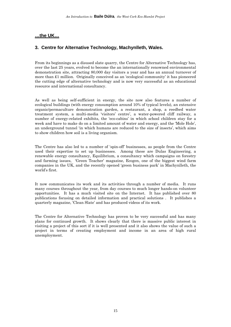#### **…the UK…**

### **3. Centre for Alternative Technology, Machynlleth, Wales.**

From its beginnings as a disused slate quarry, the Centre for Alternative Technology has, over the last 25 years, evolved to become the an internationally renowned environmental demonstration site, attracting 80,000 day visitors a year and has an annual turnover of more than £1 million. Originally conceived as an 'ecological community' it has pioneered the cutting edge of alternative technology and is now very successful as an educational resource and international consultancy.

As well as being self-sufficient in energy, the site now also features a number of ecological buildings (with energy consumption around 10% of typical levels), an extensive organic/permaculture demonstration garden, a restaurant, a shop, a reedbed water treatment system, a multi-media 'visitors' centre', a water-powered cliff railway, a number of energy-related exhibits, the 'eco-cabins' in which school children stay for a week and have to make do on a limited amount of water and energy, and the 'Mole Hole', an underground tunnel 'in which humans are reduced to the size of insects', which aims to show children how soil is a living organism.

The Centre has also led to a number of 'spin-off' businesses, as people from the Centre used their expertise to set up businesses. Among these are Dulas Engineering, a renewable energy consultancy, Equilibrium, a consultancy which campaigns on forestry and farming issues, 'Green Teacher' magazine, Ecogen, one of the biggest wind farm companies in the UK, and the recently opened 'green business park' in Machynlleth, the world's first.

It now communicates its work and its activities through a number of media. It runs many courses throughout the year, from day courses to much longer hands-on volunteer opportunities. It has a much visited site on the Internet. It has published over 80 publications focusing on detailed information and practical solutions . It publishes a quarterly magazine, 'Clean Slate' and has produced videos of its work.

The Centre for Alternative Technology has proven to be very successful and has many plans for continued growth. It shows clearly that there is massive public interest in visiting a project of this sort if it is well presented and it also shows the value of such a project in terms of creating employment and income in an area of high rural unemployment.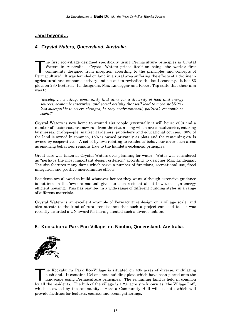### **..and beyond…**

## *4. Crystal Waters, Queensland, Australia.*

he first eco-village designed specifically using Permaculture principles is Crystal Waters in Australia. Crystal Waters prides itself on being "the world's first community designed from inception according to the principles and concepts of The first eco-village designed specifically using Permaculture principles is Crystal Waters in Australia. Crystal Waters prides itself on being "the world's first community designed from inception according to the principl agricultural and economic activity and set out to revitalise the local economy. It has 83 plots on 260 hectares. Its designers, Max Lindeggar and Robert Tap state that their aim was to

*"develop … a village community that aims for a diversity of food and energy sources, economic enterprise, and social activity that will lead to more stability less susceptible to severe changes, be they environmental, political, economic or social"* 

Crystal Waters is now home to around 130 people (eventually it will house 300) and a number of businesses are now run from the site, among which are consultancies, catering businesses, craftspeople, market gardeners, publishers and educational courses. 80% of the land is owned in common, 15% is owned privately as plots and the remaining 5% is owned by cooperatives. A set of bylaws relating to residents' behaviour cover such areas as ensuring behaviour remains true to the hamlet's ecological principles.

Great care was taken at Crystal Waters over planning for water. Water was considered as "perhaps the most important design criterion" according to designer Max Lindeggar. The site features many dams which serve a number of functions, recreational use, flood mitigation and positive microclimatic effects.

Residents are allowed to build whatever houses they want, although extensive guidance is outlined in the 'owners manual' given to each resident about how to design energy efficient housing. This has resulted in a wide range of different building styles in a range of different materials.

Crystal Waters is an excellent example of Permaculture design on a village scale, and also attests to the kind of rural renaissance that such a project can lead to. It was recently awarded a UN award for having created such a diverse habitat.

### **5. Kookaburra Park Eco-Village, nr. Nimbin, Queensland, Australia.**



he Kookaburra Park Eco-Village is situated on 485 acres of diverse, undulating bushland. It contains 124 one acre building plots which have been placed onto the landscape using Permaculture principles. The remaining land is held in common he Kookaburra Park Eco-Village is situated on 485 acres of diverse, undulating bushland. It contains 124 one acre building plots which have been placed onto the landscape using Permaculture principles. The remaining land i which is owned by the community. Here a Community Hall will be built which will provide facilities for lectures, courses and social gatherings.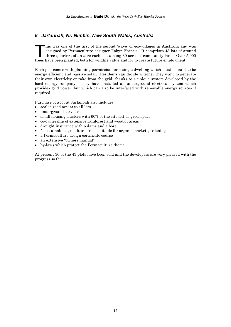#### *6. Jarlanbah, Nr. Nimbin, New South Wales, Australia.*

his was one of the first of the second 'wave' of eco-villages in Australia and was designed by Permaculture designer Robyn Francis. It comprises 43 lots of around three-quarters of an acre each, set among 30 acres of community land. Over 5,000 his was one of the first of the second 'wave' of eco-villages in Australia and designed by Permaculture designer Robyn Francis. It comprises 43 lots of arthree-quarters of an acre each, set among 30 acres of community land

Each plot comes with planning permission for a single dwelling which must be built to be energy efficient and passive solar. Residents can decide whether they want to generate their own electricity or take from the grid, thanks to a unique system developed by the local energy company. They have installed an underground electrical system which provides grid power, but which can also be interfaced with renewable energy sources if required.

Purchase of a lot at Jarlanbah also includes;

- sealed road access to all lots
- underground services
- small housing clusters with 60% of the site left as greenspace
- co-ownership of extensive rainforest and woodlot areas
- drought insurance with 5 dams and a bore
- 5 sustainable agriculture areas suitable for organic market gardening
- a Permaculture design certificate course
- an extensive "owners manual"
- by-laws which protect the Permaculture theme

At present 30 of the 43 plots have been sold and the developers are very pleased with the progress so far.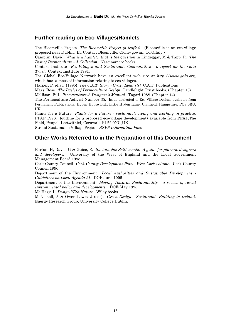## **Further reading on Eco-Villages/Hamlets**

The Bloomville Project *The Bloomville Project (a leaflet).* (Bloomville is an eco-village proposed near Dublin. ffi. Contact Bloomville, Cloneygowan, Co.Offaly.)

Camplin, David *What is a hamlet…that is the question* in Lindeggar, M & Tapp, R. *The Best of Permaculture - A Collection.* Nascimanere books.

Context Institute *Eco-Villages and Sustainable Communities - a report for the Gaia Trust.* Context Institute 1991.

The Global Eco-Village Network have an excellent web site at *http://www.gaia.org,*  which has a mass of information relating to eco-villages.

Harper, P. et.al. (1995) *The C.A.T. Story - Crazy Idealists!* C.A.T. Publications

Mars, Ross. *The Basics of Permaculture Design* Candlelight Trust books. (Chapter 13)

Mollison, Bill. *Permaculture-A Designer's Manual* Tagari 1988. (Chapter 14)

The Permaculture Activist Number 35. Issue dedicated to Eco-Village Design, available from Permanent Publications, Hyden House Ltd., Little Hyden Lane, Clanfield, Hampshire, PO8 0RU, UK.

Plants for a Future *Plants for a Future - sustainable living and working in practice.*  PFAF 1996. (outline for a proposed eco-village development) available from PFAF,The Field, Penpol, Lostwithiel, Cornwall. PL22 0NG,UK.

Stroud Sustainable Village Project *SSVP Information Pack* 

## **Other Works Referred to in the Preparation of this Document**

Barton, H, Davis, G & Guise, R. *Sustainable Settlements. A guide for planers, designers and developers.* University of the West of England and the Local Government Management Board 1995

Cork County Council *Cork County Development Plan - West Cork volume.* Cork County Council 1996

Department of the Environment *Local Authorities and Sustainable Development - Guidelines on Local Agenda 21.* DOE June 1995

Department of the Environment *Moving Towards Sustainability - a review of recent environmental policy and developments.* DOE May 1995

Mc.Harg, I. *Design With Nature.* Wiley books.

McNicholl, A & Owen Lewis, J (eds). *Green Design - Sustainable Building in Ireland.*  Energy Research Group, University College Dublin.